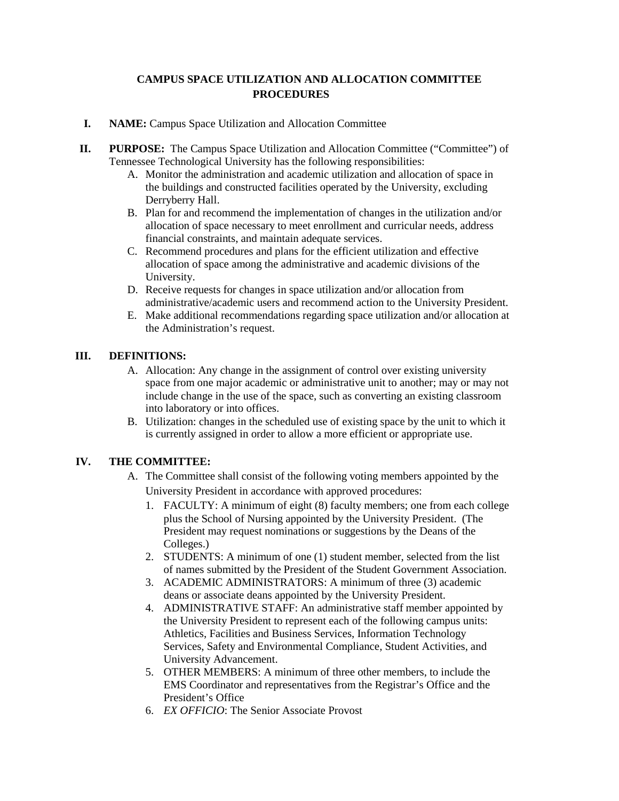# **CAMPUS SPACE UTILIZATION AND ALLOCATION COMMITTEE PROCEDURES**

- **I. NAME:** Campus Space Utilization and Allocation Committee
- **II. PURPOSE:** The Campus Space Utilization and Allocation Committee ("Committee") of Tennessee Technological University has the following responsibilities:
	- A. Monitor the administration and academic utilization and allocation of space in the buildings and constructed facilities operated by the University, excluding Derryberry Hall.
	- B. Plan for and recommend the implementation of changes in the utilization and/or allocation of space necessary to meet enrollment and curricular needs, address financial constraints, and maintain adequate services.
	- C. Recommend procedures and plans for the efficient utilization and effective allocation of space among the administrative and academic divisions of the University.
	- D. Receive requests for changes in space utilization and/or allocation from administrative/academic users and recommend action to the University President.
	- E. Make additional recommendations regarding space utilization and/or allocation at the Administration's request.

# **III. DEFINITIONS:**

- A. Allocation: Any change in the assignment of control over existing university space from one major academic or administrative unit to another; may or may not include change in the use of the space, such as converting an existing classroom into laboratory or into offices.
- B. Utilization: changes in the scheduled use of existing space by the unit to which it is currently assigned in order to allow a more efficient or appropriate use.

# **IV. THE COMMITTEE:**

- A. The Committee shall consist of the following voting members appointed by the University President in accordance with approved procedures:
	- 1. FACULTY: A minimum of eight (8) faculty members; one from each college plus the School of Nursing appointed by the University President. (The President may request nominations or suggestions by the Deans of the Colleges.)
	- 2. STUDENTS: A minimum of one (1) student member, selected from the list of names submitted by the President of the Student Government Association.
	- 3. ACADEMIC ADMINISTRATORS: A minimum of three (3) academic deans or associate deans appointed by the University President.
	- 4. ADMINISTRATIVE STAFF: An administrative staff member appointed by the University President to represent each of the following campus units: Athletics, Facilities and Business Services, Information Technology Services, Safety and Environmental Compliance, Student Activities, and University Advancement.
	- 5. OTHER MEMBERS: A minimum of three other members, to include the EMS Coordinator and representatives from the Registrar's Office and the President's Office
	- 6. *EX OFFICIO*: The Senior Associate Provost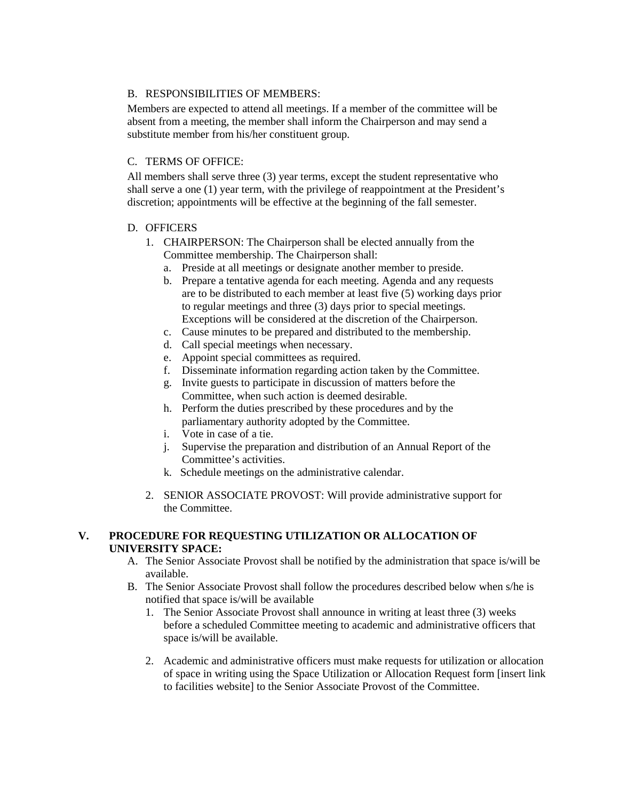### B. RESPONSIBILITIES OF MEMBERS:

Members are expected to attend all meetings. If a member of the committee will be absent from a meeting, the member shall inform the Chairperson and may send a substitute member from his/her constituent group.

### C. TERMS OF OFFICE:

All members shall serve three (3) year terms, except the student representative who shall serve a one (1) year term, with the privilege of reappointment at the President's discretion; appointments will be effective at the beginning of the fall semester.

#### D. OFFICERS

- 1. CHAIRPERSON: The Chairperson shall be elected annually from the Committee membership. The Chairperson shall:
	- a. Preside at all meetings or designate another member to preside.
	- b. Prepare a tentative agenda for each meeting. Agenda and any requests are to be distributed to each member at least five (5) working days prior to regular meetings and three (3) days prior to special meetings. Exceptions will be considered at the discretion of the Chairperson.
	- c. Cause minutes to be prepared and distributed to the membership.
	- d. Call special meetings when necessary.
	- e. Appoint special committees as required.
	- f. Disseminate information regarding action taken by the Committee.
	- g. Invite guests to participate in discussion of matters before the Committee, when such action is deemed desirable.
	- h. Perform the duties prescribed by these procedures and by the parliamentary authority adopted by the Committee.
	- i. Vote in case of a tie.
	- j. Supervise the preparation and distribution of an Annual Report of the Committee's activities.
	- k. Schedule meetings on the administrative calendar.
- 2. SENIOR ASSOCIATE PROVOST: Will provide administrative support for the Committee.

#### **V. PROCEDURE FOR REQUESTING UTILIZATION OR ALLOCATION OF UNIVERSITY SPACE:**

- A. The Senior Associate Provost shall be notified by the administration that space is/will be available.
- B. The Senior Associate Provost shall follow the procedures described below when s/he is notified that space is/will be available
	- 1. The Senior Associate Provost shall announce in writing at least three (3) weeks before a scheduled Committee meeting to academic and administrative officers that space is/will be available.
	- 2. Academic and administrative officers must make requests for utilization or allocation of space in writing using the Space Utilization or Allocation Request form [insert link to facilities website] to the Senior Associate Provost of the Committee.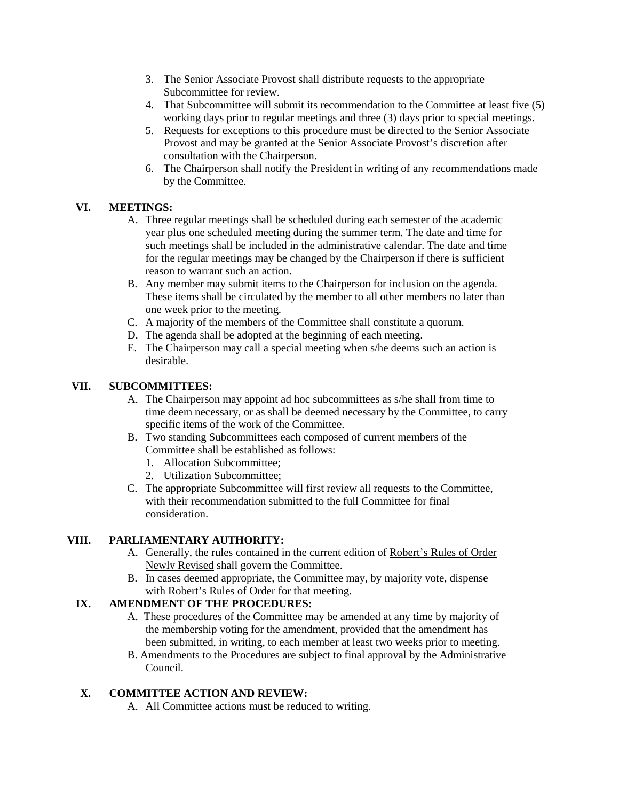- 3. The Senior Associate Provost shall distribute requests to the appropriate Subcommittee for review.
- 4. That Subcommittee will submit its recommendation to the Committee at least five (5) working days prior to regular meetings and three (3) days prior to special meetings.
- 5. Requests for exceptions to this procedure must be directed to the Senior Associate Provost and may be granted at the Senior Associate Provost's discretion after consultation with the Chairperson.
- 6. The Chairperson shall notify the President in writing of any recommendations made by the Committee.

### **VI. MEETINGS:**

- A. Three regular meetings shall be scheduled during each semester of the academic year plus one scheduled meeting during the summer term. The date and time for such meetings shall be included in the administrative calendar. The date and time for the regular meetings may be changed by the Chairperson if there is sufficient reason to warrant such an action.
- B. Any member may submit items to the Chairperson for inclusion on the agenda. These items shall be circulated by the member to all other members no later than one week prior to the meeting.
- C. A majority of the members of the Committee shall constitute a quorum.
- D. The agenda shall be adopted at the beginning of each meeting.
- E. The Chairperson may call a special meeting when s/he deems such an action is desirable.

#### **VII. SUBCOMMITTEES:**

- A. The Chairperson may appoint ad hoc subcommittees as s/he shall from time to time deem necessary, or as shall be deemed necessary by the Committee, to carry specific items of the work of the Committee.
- B. Two standing Subcommittees each composed of current members of the Committee shall be established as follows:
	- 1. Allocation Subcommittee;
	- 2. Utilization Subcommittee;
- C. The appropriate Subcommittee will first review all requests to the Committee, with their recommendation submitted to the full Committee for final consideration.

#### **VIII. PARLIAMENTARY AUTHORITY:**

- A. Generally, the rules contained in the current edition of Robert's Rules of Order Newly Revised shall govern the Committee.
- B. In cases deemed appropriate, the Committee may, by majority vote, dispense with Robert's Rules of Order for that meeting.

# **IX. AMENDMENT OF THE PROCEDURES:**

- A. These procedures of the Committee may be amended at any time by majority of the membership voting for the amendment, provided that the amendment has been submitted, in writing, to each member at least two weeks prior to meeting.
- B. Amendments to the Procedures are subject to final approval by the Administrative Council.

# **X. COMMITTEE ACTION AND REVIEW:**

A. All Committee actions must be reduced to writing.